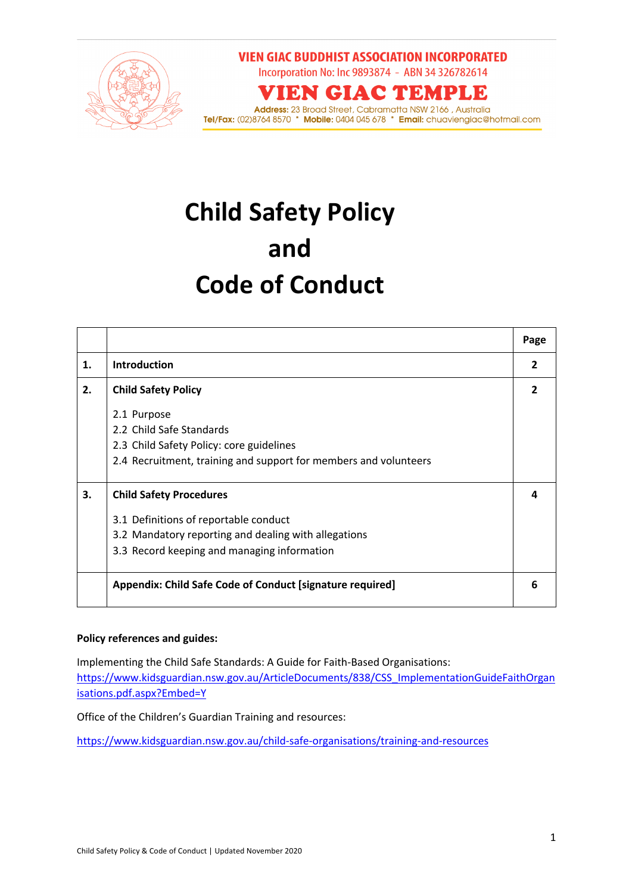

**VIEN GIAC BUDDHIST ASSOCIATION INCORPORATED** Incorporation No: Inc 9893874 - ABN 34 326782614

**VIEN GIAC TEMPLE** 

**Address:** 23 Broad Street, Cabramatta NSW 2166 , Australia<br>**Tel/Fax:** (02)8764 8570 \* **Mobile:** 0404 045 678 \* **Email:** chuaviengiac@hotmail.com

# **Child Safety Policy and Code of Conduct**

|    |                                                                  | Page |
|----|------------------------------------------------------------------|------|
| 1. | <b>Introduction</b>                                              | 2    |
| 2. | <b>Child Safety Policy</b>                                       |      |
|    | 2.1 Purpose                                                      |      |
|    | 2.2 Child Safe Standards                                         |      |
|    | 2.3 Child Safety Policy: core guidelines                         |      |
|    | 2.4 Recruitment, training and support for members and volunteers |      |
| З. | <b>Child Safety Procedures</b>                                   |      |
|    | 3.1 Definitions of reportable conduct                            |      |
|    | 3.2 Mandatory reporting and dealing with allegations             |      |
|    | 3.3 Record keeping and managing information                      |      |
|    | Appendix: Child Safe Code of Conduct [signature required]        | 6    |

#### **Policy references and guides:**

Implementing the Child Safe Standards: A Guide for Faith-Based Organisations:

https://www.kidsguardian.nsw.gov.au/ArticleDocuments/838/CSS\_ImplementationGuideFaithOrgan isations.pdf.aspx?Embed=Y

Office of the Children's Guardian Training and resources:

https://www.kidsguardian.nsw.gov.au/child-safe-organisations/training-and-resources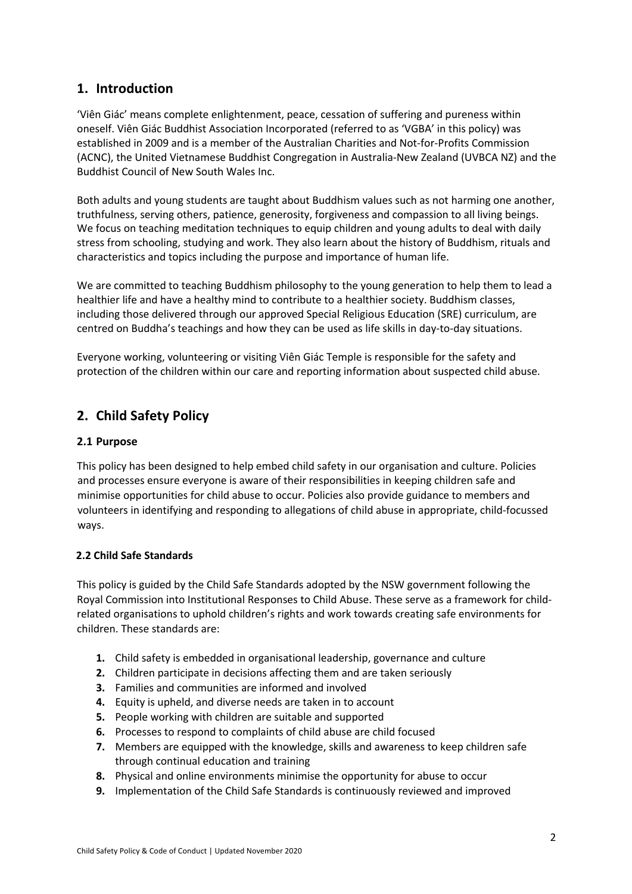### **1. Introduction**

'Viên Giác' means complete enlightenment, peace, cessation of suffering and pureness within oneself. Viên Giác Buddhist Association Incorporated (referred to as 'VGBA' in this policy) was established in 2009 and is a member of the Australian Charities and Not-for-Profits Commission (ACNC), the United Vietnamese Buddhist Congregation in Australia-New Zealand (UVBCA NZ) and the Buddhist Council of New South Wales Inc.

Both adults and young students are taught about Buddhism values such as not harming one another, truthfulness, serving others, patience, generosity, forgiveness and compassion to all living beings. We focus on teaching meditation techniques to equip children and young adults to deal with daily stress from schooling, studying and work. They also learn about the history of Buddhism, rituals and characteristics and topics including the purpose and importance of human life.

We are committed to teaching Buddhism philosophy to the young generation to help them to lead a healthier life and have a healthy mind to contribute to a healthier society. Buddhism classes, including those delivered through our approved Special Religious Education (SRE) curriculum, are centred on Buddha's teachings and how they can be used as life skills in day-to-day situations.

Everyone working, volunteering or visiting Viên Giác Temple is responsible for the safety and protection of the children within our care and reporting information about suspected child abuse.

# **2. Child Safety Policy**

#### **2.1 Purpose**

This policy has been designed to help embed child safety in our organisation and culture. Policies and processes ensure everyone is aware of their responsibilities in keeping children safe and minimise opportunities for child abuse to occur. Policies also provide guidance to members and volunteers in identifying and responding to allegations of child abuse in appropriate, child-focussed ways.

#### **2.2 Child Safe Standards**

This policy is guided by the Child Safe Standards adopted by the NSW government following the Royal Commission into Institutional Responses to Child Abuse. These serve as a framework for childrelated organisations to uphold children's rights and work towards creating safe environments for children. These standards are:

- **1.** Child safety is embedded in organisational leadership, governance and culture
- **2.** Children participate in decisions affecting them and are taken seriously
- **3.** Families and communities are informed and involved
- **4.** Equity is upheld, and diverse needs are taken in to account
- **5.** People working with children are suitable and supported
- **6.** Processes to respond to complaints of child abuse are child focused
- **7.** Members are equipped with the knowledge, skills and awareness to keep children safe through continual education and training
- **8.** Physical and online environments minimise the opportunity for abuse to occur
- **9.** Implementation of the Child Safe Standards is continuously reviewed and improved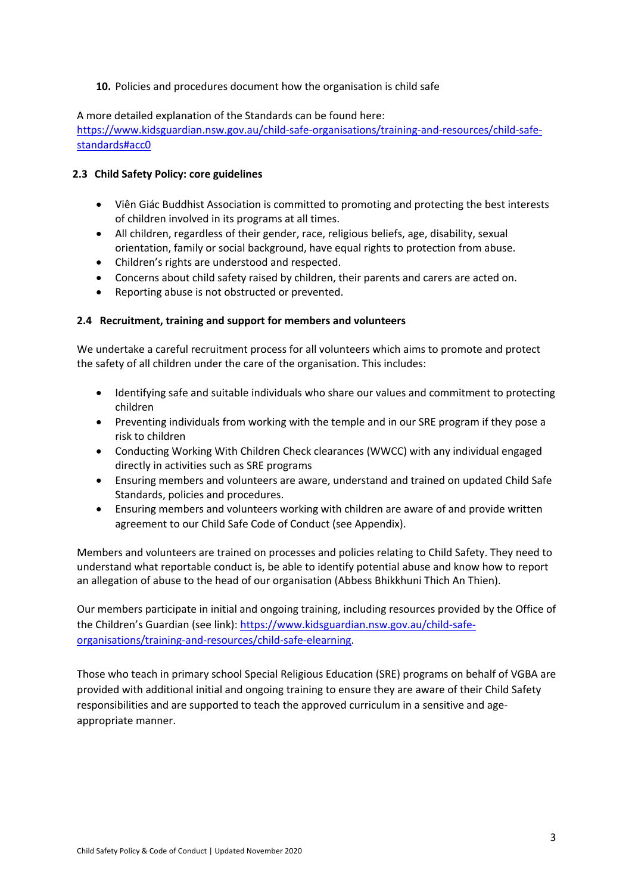#### **10.** Policies and procedures document how the organisation is child safe

A more detailed explanation of the Standards can be found here:

https://www.kidsguardian.nsw.gov.au/child-safe-organisations/training-and-resources/child-safestandards#acc0

#### **2.3 Child Safety Policy: core guidelines**

- Viên Giác Buddhist Association is committed to promoting and protecting the best interests of children involved in its programs at all times.
- All children, regardless of their gender, race, religious beliefs, age, disability, sexual orientation, family or social background, have equal rights to protection from abuse.
- Children's rights are understood and respected.
- Concerns about child safety raised by children, their parents and carers are acted on.
- Reporting abuse is not obstructed or prevented.

#### **2.4 Recruitment, training and support for members and volunteers**

We undertake a careful recruitment process for all volunteers which aims to promote and protect the safety of all children under the care of the organisation. This includes:

- Identifying safe and suitable individuals who share our values and commitment to protecting children
- Preventing individuals from working with the temple and in our SRE program if they pose a risk to children
- Conducting Working With Children Check clearances (WWCC) with any individual engaged directly in activities such as SRE programs
- Ensuring members and volunteers are aware, understand and trained on updated Child Safe Standards, policies and procedures.
- Ensuring members and volunteers working with children are aware of and provide written agreement to our Child Safe Code of Conduct (see Appendix).

Members and volunteers are trained on processes and policies relating to Child Safety. They need to understand what reportable conduct is, be able to identify potential abuse and know how to report an allegation of abuse to the head of our organisation (Abbess Bhikkhuni Thich An Thien).

Our members participate in initial and ongoing training, including resources provided by the Office of the Children's Guardian (see link): https://www.kidsguardian.nsw.gov.au/child-safeorganisations/training-and-resources/child-safe-elearning.

Those who teach in primary school Special Religious Education (SRE) programs on behalf of VGBA are provided with additional initial and ongoing training to ensure they are aware of their Child Safety responsibilities and are supported to teach the approved curriculum in a sensitive and ageappropriate manner.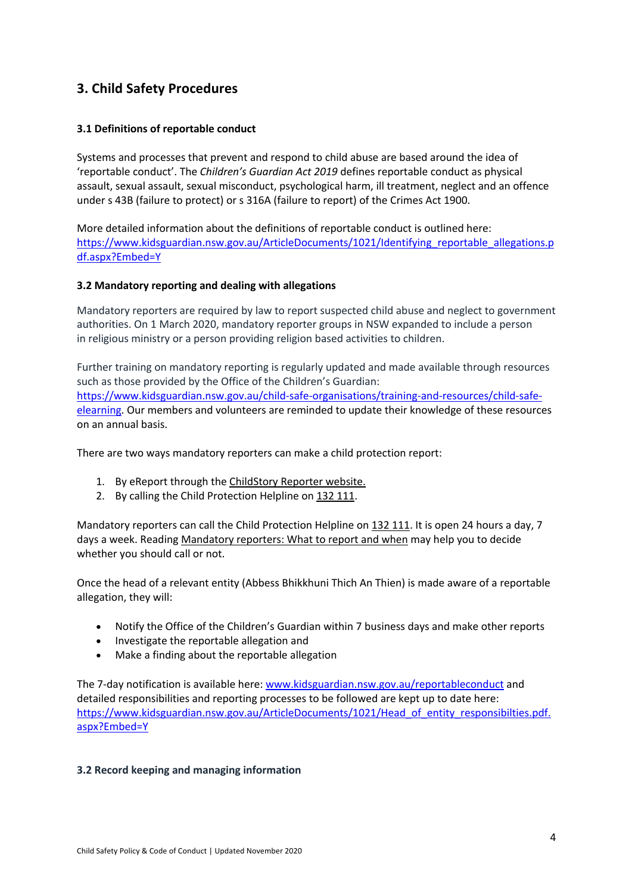# **3. Child Safety Procedures**

#### **3.1 Definitions of reportable conduct**

Systems and processes that prevent and respond to child abuse are based around the idea of 'reportable conduct'. The *Children's Guardian Act 2019* defines reportable conduct as physical assault, sexual assault, sexual misconduct, psychological harm, ill treatment, neglect and an offence under s 43B (failure to protect) or s 316A (failure to report) of the Crimes Act 1900.

More detailed information about the definitions of reportable conduct is outlined here: https://www.kidsguardian.nsw.gov.au/ArticleDocuments/1021/Identifying\_reportable\_allegations.p df.aspx?Embed=Y

#### **3.2 Mandatory reporting and dealing with allegations**

Mandatory reporters are required by law to report suspected child abuse and neglect to government authorities. On 1 March 2020, mandatory reporter groups in NSW expanded to include a person in religious ministry or a person providing religion based activities to children.

Further training on mandatory reporting is regularly updated and made available through resources such as those provided by the Office of the Children's Guardian: https://www.kidsguardian.nsw.gov.au/child-safe-organisations/training-and-resources/child-safeelearning. Our members and volunteers are reminded to update their knowledge of these resources on an annual basis.

There are two ways mandatory reporters can make a child protection report:

- 1. By eReport through the ChildStory Reporter website.
- 2. By calling the Child Protection Helpline on 132 111.

Mandatory reporters can call the Child Protection Helpline on 132 111. It is open 24 hours a day, 7 days a week. Reading Mandatory reporters: What to report and when may help you to decide whether you should call or not.

Once the head of a relevant entity (Abbess Bhikkhuni Thich An Thien) is made aware of a reportable allegation, they will:

- Notify the Office of the Children's Guardian within 7 business days and make other reports
- Investigate the reportable allegation and
- Make a finding about the reportable allegation

The 7-day notification is available here: www.kidsguardian.nsw.gov.au/reportableconduct and detailed responsibilities and reporting processes to be followed are kept up to date here: https://www.kidsguardian.nsw.gov.au/ArticleDocuments/1021/Head\_of\_entity\_responsibilties.pdf. aspx?Embed=Y

#### **3.2 Record keeping and managing information**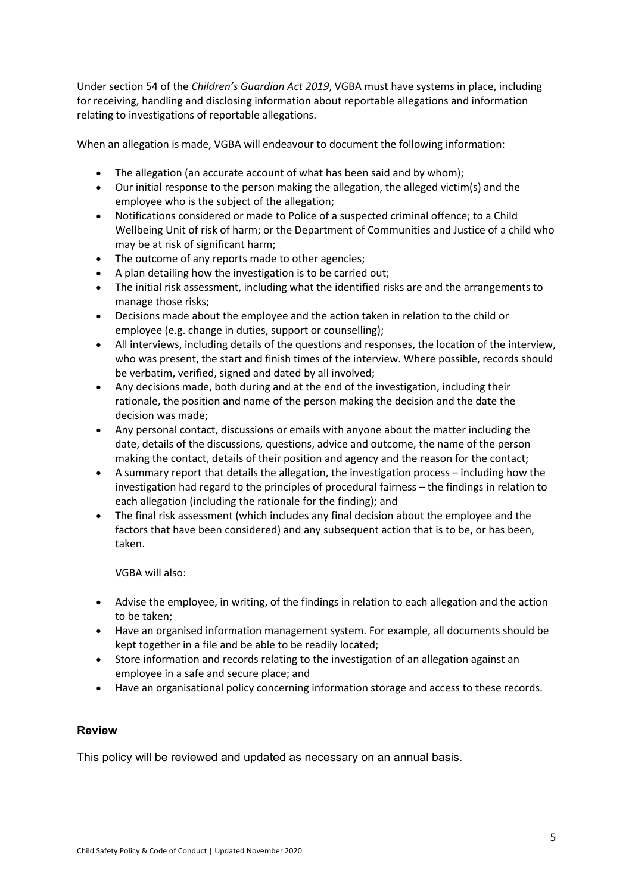Under section 54 of the *Children's Guardian Act 2019*, VGBA must have systems in place, including for receiving, handling and disclosing information about reportable allegations and information relating to investigations of reportable allegations.

When an allegation is made, VGBA will endeavour to document the following information:

- The allegation (an accurate account of what has been said and by whom);
- Our initial response to the person making the allegation, the alleged victim(s) and the employee who is the subject of the allegation;
- Notifications considered or made to Police of a suspected criminal offence; to a Child Wellbeing Unit of risk of harm; or the Department of Communities and Justice of a child who may be at risk of significant harm;
- The outcome of any reports made to other agencies;
- A plan detailing how the investigation is to be carried out;
- The initial risk assessment, including what the identified risks are and the arrangements to manage those risks;
- Decisions made about the employee and the action taken in relation to the child or employee (e.g. change in duties, support or counselling);
- All interviews, including details of the questions and responses, the location of the interview, who was present, the start and finish times of the interview. Where possible, records should be verbatim, verified, signed and dated by all involved;
- Any decisions made, both during and at the end of the investigation, including their rationale, the position and name of the person making the decision and the date the decision was made;
- Any personal contact, discussions or emails with anyone about the matter including the date, details of the discussions, questions, advice and outcome, the name of the person making the contact, details of their position and agency and the reason for the contact;
- A summary report that details the allegation, the investigation process including how the investigation had regard to the principles of procedural fairness – the findings in relation to each allegation (including the rationale for the finding); and
- The final risk assessment (which includes any final decision about the employee and the factors that have been considered) and any subsequent action that is to be, or has been, taken.

VGBA will also:

- Advise the employee, in writing, of the findings in relation to each allegation and the action to be taken;
- Have an organised information management system. For example, all documents should be kept together in a file and be able to be readily located;
- Store information and records relating to the investigation of an allegation against an employee in a safe and secure place; and
- Have an organisational policy concerning information storage and access to these records.

#### **Review**

This policy will be reviewed and updated as necessary on an annual basis.